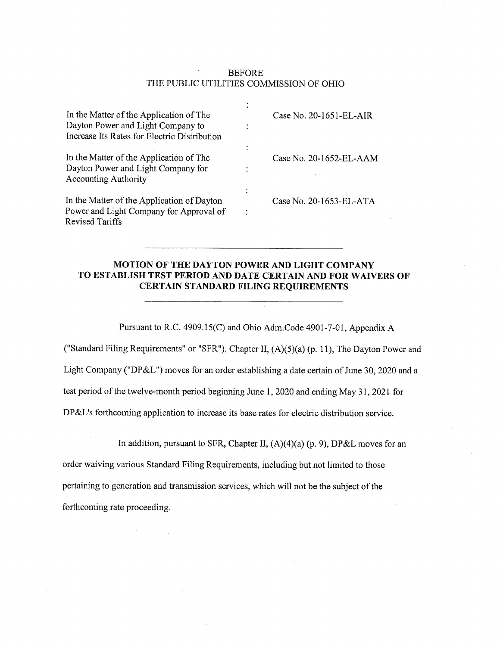#### **BEFORE** THE PUBLIC UTILITIES COMMISSION OF OHIO

| In the Matter of the Application of The<br>Dayton Power and Light Company to<br>Increase Its Rates for Electric Distribution | Case No. 20-1651-EL-AIR |
|------------------------------------------------------------------------------------------------------------------------------|-------------------------|
| In the Matter of the Application of The<br>Dayton Power and Light Company for<br><b>Accounting Authority</b>                 | Case No. 20-1652-EL-AAM |
| In the Matter of the Application of Dayton<br>Power and Light Company for Approval of<br>Revised Tariffs                     | Case No. 20-1653-EL-ATA |

## MOTION OF THE DAYTON POWER AND LIGHT COMPANY TO ESTABLISH TEST PERIOD AND DATE CERTAIN AND FOR WAIVERS OF CERTAIN STANDARD FILING REQUIREMENTS

Pursuant to R.C. 4909.15(C) and Ohio Adm.Code 4901-7-01, Appendix A

("Standard Filing Requirements" or "SFR"), Chapter II, (A)(5)(a) (p. 11), The Dayton Power and Light Company ("DP&L") moves for an order establishing a date certain of June 30, 2020 and a test period of the twelve-month period beginning June 1, 2020 and ending May 31, 2021 for DP&L's forthcoming application to increase its base rates for electric distribution service.

In addition, pursuant to SFR, Chapter II,  $(A)(4)(a)$  (p. 9), DP&L moves for an

order waiving various Standard Filing Requirements, including but not limited to those pertaining to generation and transmission services, which will not be the subject of the forthcoming rate proceeding.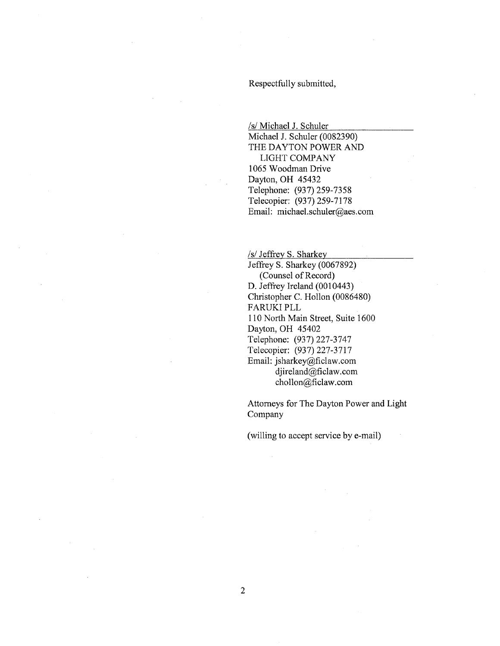Respectfully submitted,

/s/ Michael J. Schuler

Michael J. Schuler (0082390) THE DAYTON POWER AND LIGHT COMPANY 1065 Woodman Drive Dayton, OH 45432 Telephone: (937) 259-7358 Telecopier: (937) 259-7178 Email: michael.schuler@aes.com

/s/ Jeffrey S. Sharkey Jeffrey S. Sharkey (0067892) (Counsel of Record) D. Jeffrey Ireland (0010443) Christopher C. Hollon (0086480) FARUKI PLL 110 North Main Street, Suite 1600 Dayton, OH 45402 Telephone: (937) 227-3747 Telecopier: (937) 227-3717 Email: jsharkey@ficlaw.com djireland@ficlaw.com chollon@ficlaw.com

Attorneys for The Dayton Power and Light Company

(willing to accept service by e-mail)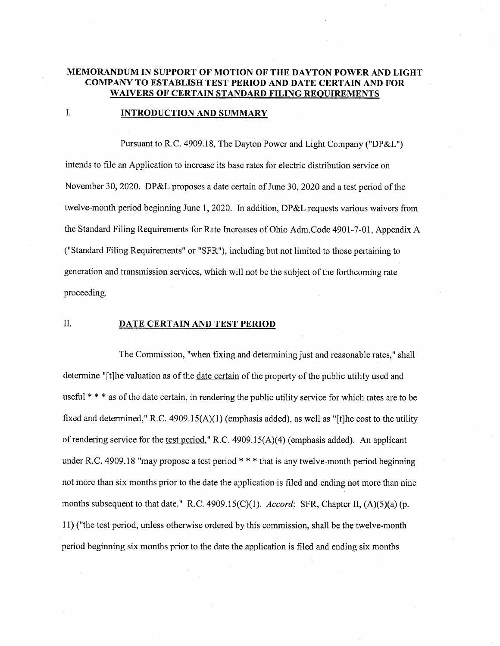## MEMORANDUM IN SUPPORT OF MOTION OF THE DAYTON POWER AND LIGHT COMPANY TO ESTABLISH TEST PERIOD AND DATE CERTAIN AND FOR WAIVERS OF CERTAIN STANDARD FILING REQUIREMENTS

#### I. **INTRODUCTION AND SUMMARY**

Pursuant to R.C. 4909.18, The Dayton Power and Light Company ("DP&L") intends to file an Application to increase its base rates for electric distribution service on November 30, 2020. DP&L proposes a date certain of June 30, 2020 and a test period of the twelve-month period beginning June 1, 2020. In addition, DP&L requests various waivers from the Standard Filing Requirements for Rate Increases of Ohio Adm.Code 4901-7-01, Appendix A ("Standard Filing Requirements" or "SFR"), including but not limited to those pertaining to generation and transmission services, which will not be the subject of the forthcoming rate proceeding.

#### II. DATE CERTAIN AND TEST PERIOD

The Commission, "when fixing and determining just and reasonable rates," shall determine "[t]he valuation as of the date certain of the property of the public utility used and useful \* \* \* as of the date certain, in rendering the public utility service for which rates are to be fixed and determined," R.C. 4909.15(A)(1) (emphasis added), as well as "[t]he cost to the utility of rendering service for the test period," R.C. 4909.15(A)(4) (emphasis added). An applicant under R.C. 4909.18 "may propose a test period \* \* \* that is any twelve-month period beginning not more than six months prior to the date the application is filed and ending not more than nine months subsequent to that date." R.C. 4909.15(C)(1). Accord: SFR, Chapter II,  $(A)(5)(a)$  (p. 11) ("the test period, unless otherwise ordered by this commission, shall be the twelve-month period beginning six months prior to the date the application is filed and ending six months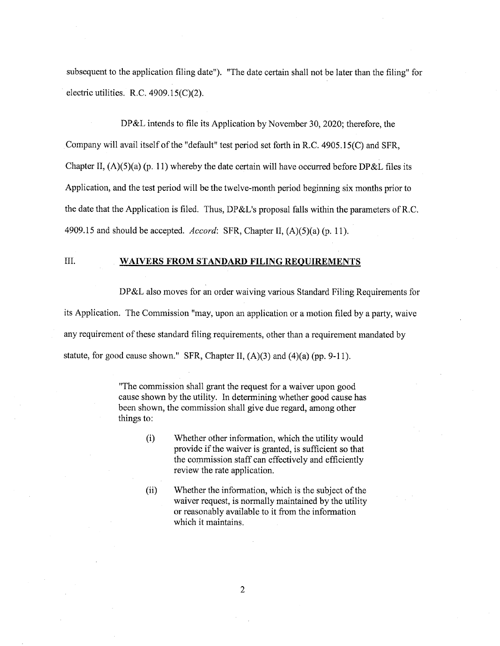subsequent to the application filing date"). "The date certain shall not be later than the filing" for electric utilities. R.C.  $4909.15(C)(2)$ .

DP&L intends to file its Application by November 30, 2020; therefore, the Company will avail itself of the "default" test period set forth in R.C. 4905.15(C) and SFR, Chapter II,  $(A)(5)(a)$  (p. 11) whereby the date certain will have occurred before DP&L files its Application, and the test period will be the twelve-month period beginning six months prior to the date that the Application is filed. Thus, DP&L's proposal falls within the parameters of R.C. 4909.15 and should be accepted. Accord: SFR, Chapter II,  $(A)(5)(a)$  (p. 11).

## III. WAIVERS FROM STANDARD FILING REQUIREMENTS

DP&L also moves for an order waiving various Standard Filing Requirements for its Application. The Commission "may, upon an application or a motion filed by a party, waive any requirement of these standard filing requirements, other than a requirement mandated by statute, for good cause shown." SFR, Chapter II,  $(A)(3)$  and  $(4)(a)$  (pp. 9-11).

> "The commission shall grant the request for a waiver upon good cause shown by the utility. In determining whether good cause has been shown, the commission shall give due regard, among other things to:

- (i) Whether other information, which the utility would provide if the waiver is granted, is sufficient so that the commission staff can effectively and efficiently review the rate application.
- (ii) Whether the information, which is the subject of the waiver request, is normally maintained by the utility or reasonably available to it from the information which it maintains.

2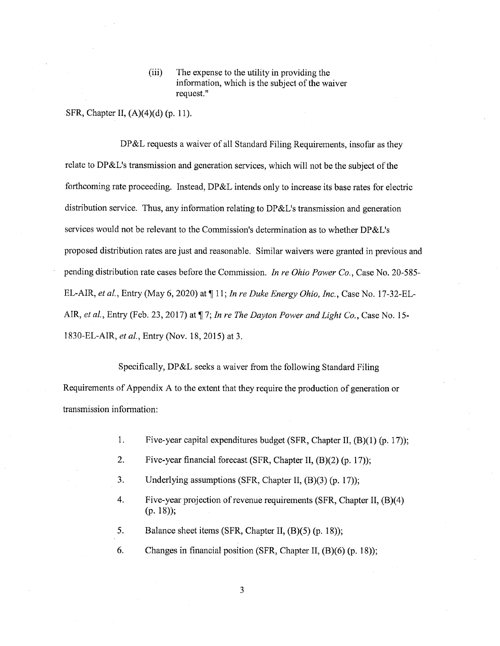(iii) The expense to the utility in providing the information, which is the subject of the waiver request."

SFR, Chapter II, (A)(4)(d) (p. 11).

DP&L requests a waiver of all Standard Filing Requirements, insofar as they relate to DP&L's transmission and generation services, which will not be the subject of the forthcoming rate proceeding. Instead, DP&L intends only to increase its base rates for electric distribution service. Thus, any information relating to DP&L's transmission and generation services would not be relevant to the Commission's determination as to whether DP&L's proposed distribution rates are just and reasonable. Similar waivers were granted in previous and pending distribution rate cases before the Commission. In re Ohio Power Co., Case No. 20-585- EL-AIR, et al., Entry (May 6, 2020) at ¶ 11; In re Duke Energy Ohio, Inc., Case No. 17-32-BL-AIR, et al., Entry (Feb. 23, 2017) at  $\P$  7; In re The Dayton Power and Light Co., Case No. 15-1830-EL-AIR, et al., Entry (Nov. 18, 2015) at 3.

Specifically, DP&L seeks a waiver from the following Standard Filing Requirements of Appendix A to the extent that they require the production of generation or transmission information:

- 1. Five-year capital expenditures budget (SFR, Chapter II, (B)(1) (p. 17));
- 2. Five-year financial forecast (SFR, Chapter II, (B)(2) (p. 17));
- 3. Underlying assumptions (SFR, Chapter II, (B)(3) (p. 17));
- 4. Five-year projection of revenue requirements (SFR, Chapter II, (B)(4) (p. 18));
- 5. Balance sheet items (SFR, Chapter II, (B)(5) (p. 18));
- 6. Changes in financial position (SFR, Chapter II, (B)(6) (p. 18));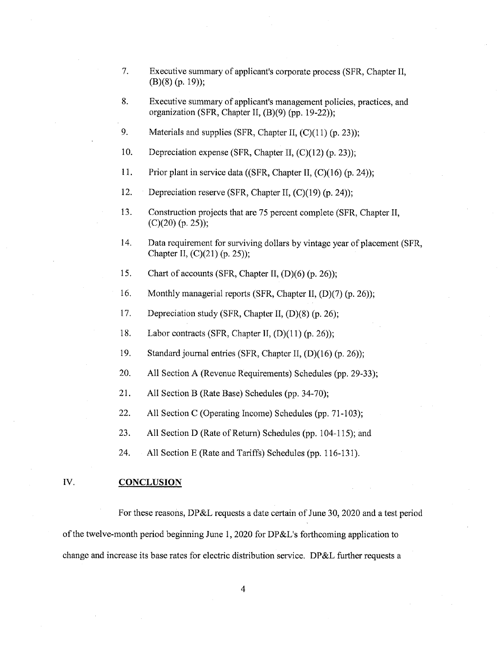- 7. Executive summary of applicant's corporate process (SFR, Chapter II, (B)(8) (p. 19));
- 8. Executive summary of applicant's management policies, practices, and organization (SFR, Chapter II, (B)(9) (pp. 19-22));
- 9. Materials and supplies (SFR, Chapter II, (C)(11) (p. 23));
- 10. Depreciation expense (SFR, Chapter II, (C)(12) (p. 23));
- 11. Prior plant in service data ((SFR, Chapter II, (C)(16) (p. 24));
- 12. Depreciation reserve (SFR, Chapter II, (C)(19) (p. 24));
- 13. Construction projects that are 75 percent complete (SFR, Chapter II, (C)(20) (p. 25));
- 14. Data requirement for surviving dollars by vintage year of placement (SFR, Chapter II, (C)(21) (p. 25));
- 15. Chart of accounts (SFR, Chapter II, (D)(6) (p. 26));
- 16. Monthly managerial reports (SFR, Chapter II, (D)(7) (p. 26));
- 17. Depreciation study (SFR, Chapter II, (D)(8) (p. 26);
- 18. Labor contracts (SFR, Chapter II, (D)(11) (p. 26));
- 19. Standard journal entries (SFR, Chapter II, (D)(16) (p. 26));
- 20. All Section A (Revenue Requirements) Schedules (pp. 29-33);
- 21. All Section B (Rate Base) Schedules (pp. 34-70);
- 22. All Section C (Operating Income) Schedules (pp. 71-103);
- 23. All Section D (Rate of Return) Schedules (pp. 104-115); and
- 24. All Section E (Rate and Tariffs) Schedules (pp. 116-131).

#### IV. CONCLUSION

For these reasons, DP&L requests a date certain of June 30, 2020 and a test period of the twelve-month period beginning June 1, 2020 for DP&L's forthcoming application to change and increase its base rates for electric distribution service. DP&L further requests a

4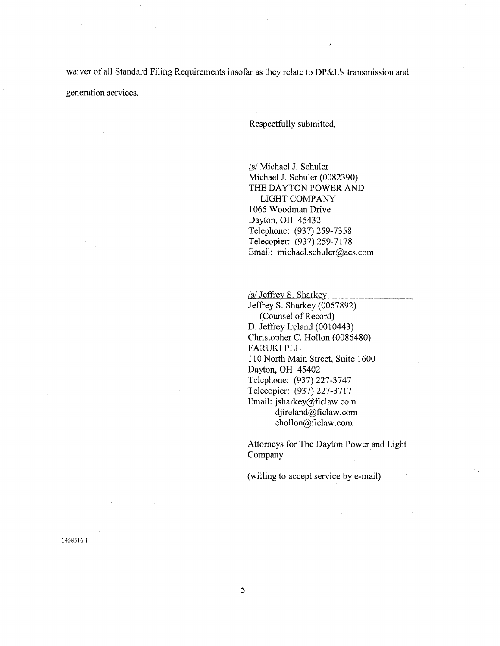waiver of all Standard Filing Requirements insofar as they relate to DP&L's transmission and generation services.

Respectfully submitted,

/s/ Michael J. Schuler

Michael J. Schuler (0082390) THE DAYTON POWER AND LIGHT COMPANY 1065 Woodman Drive Dayton, OH 45432 Telephone: (937) 259-7358 Telecopier: (937) 259-7178 Email: michael.schuler@aes.com

/s/ Jeffrey S. Sharkey Jeffrey S. Sharkey (0067892) (Counsel of Record) D. Jeffrey Ireland (0010443) Christopher C. Hollon (0086480) FARUKI PLL 110 North Main Street, Suite 1600 Dayton, OH 45402 Telephone: (937) 227-3747 Telecopier: (937) 227-3717 Email: jsharkey@ficlaw.com djireland@ficlaw.com chollon@ficlaw. corn

Attorneys for The Dayton Power and Light Company

(willing to accept service by e-mail)

1458516.1